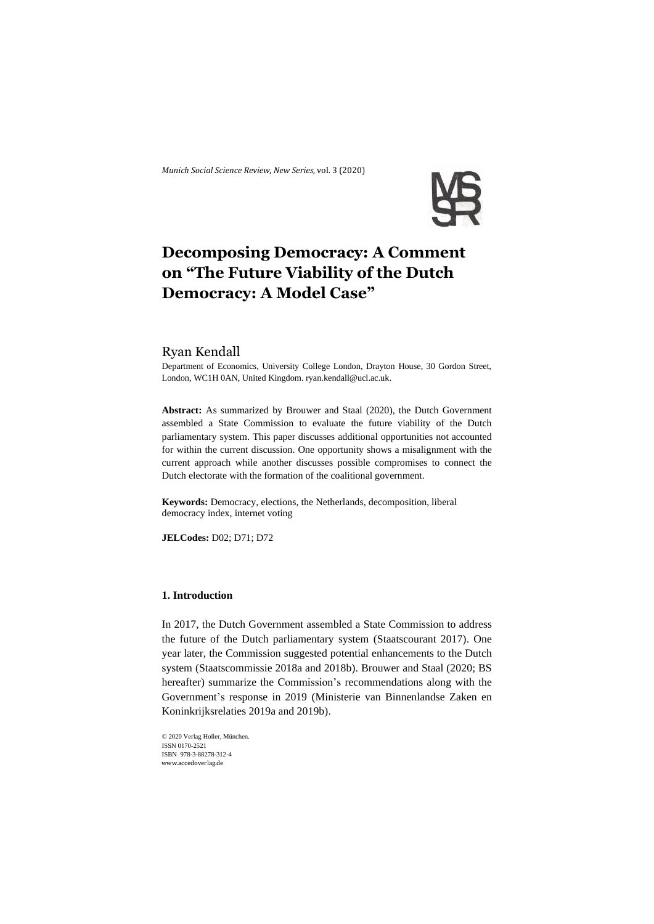*Munich Social Science Review*, *New Series,* vol. 3 (2020)



# **Decomposing Democracy: A Comment on "The Future Viability of the Dutch Democracy: A Model Case"**

# Ryan Kendall

Department of Economics, University College London, Drayton House, 30 Gordon Street, London, WC1H 0AN, United Kingdom. ryan.kendall@ucl.ac.uk.

**Abstract:** As summarized by Brouwer and Staal (2020), the Dutch Government assembled a State Commission to evaluate the future viability of the Dutch parliamentary system. This paper discusses additional opportunities not accounted for within the current discussion. One opportunity shows a misalignment with the current approach while another discusses possible compromises to connect the Dutch electorate with the formation of the coalitional government.

**Keywords:** Democracy, elections, the Netherlands, decomposition, liberal democracy index, internet voting

**JELCodes:** D02; D71; D72

# **1. Introduction**

In 2017, the Dutch Government assembled a State Commission to address the future of the Dutch parliamentary system (Staatscourant 2017). One year later, the Commission suggested potential enhancements to the Dutch system (Staatscommissie 2018a and 2018b). Brouwer and Staal (2020; BS hereafter) summarize the Commission's recommendations along with the Government's response in 2019 (Ministerie van Binnenlandse Zaken en Koninkrijksrelaties 2019a and 2019b).

© 2020 Verlag Holler, München. ISSN 0170-2521 ISBN 978-3-88278-312-4 www.accedoverlag.de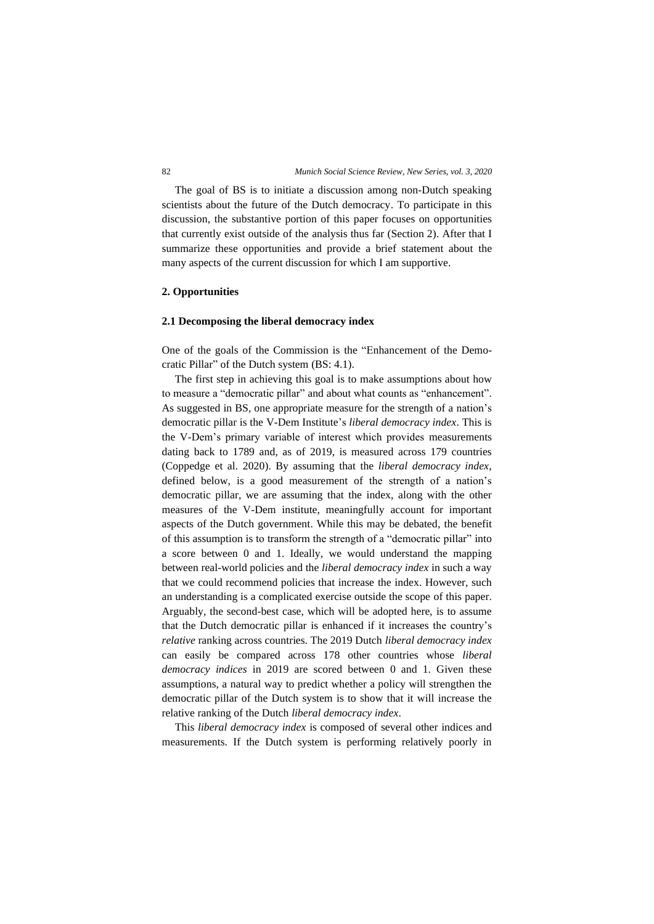The goal of BS is to initiate a discussion among non-Dutch speaking scientists about the future of the Dutch democracy. To participate in this discussion, the substantive portion of this paper focuses on opportunities that currently exist outside of the analysis thus far (Section 2). After that I summarize these opportunities and provide a brief statement about the many aspects of the current discussion for which I am supportive.

### **2. Opportunities**

## **2.1 Decomposing the liberal democracy index**

One of the goals of the Commission is the "Enhancement of the Democratic Pillar" of the Dutch system (BS: 4.1).

The first step in achieving this goal is to make assumptions about how to measure a "democratic pillar" and about what counts as "enhancement". As suggested in BS, one appropriate measure for the strength of a nation's democratic pillar is the V-Dem Institute's *liberal democracy index*. This is the V-Dem's primary variable of interest which provides measurements dating back to 1789 and, as of 2019, is measured across 179 countries (Coppedge et al. 2020). By assuming that the *liberal democracy index*, defined below, is a good measurement of the strength of a nation's democratic pillar, we are assuming that the index, along with the other measures of the V-Dem institute, meaningfully account for important aspects of the Dutch government. While this may be debated, the benefit of this assumption is to transform the strength of a "democratic pillar" into a score between 0 and 1. Ideally, we would understand the mapping between real-world policies and the *liberal democracy index* in such a way that we could recommend policies that increase the index. However, such an understanding is a complicated exercise outside the scope of this paper. Arguably, the second-best case, which will be adopted here, is to assume that the Dutch democratic pillar is enhanced if it increases the country's *relative* ranking across countries. The 2019 Dutch *liberal democracy index* can easily be compared across 178 other countries whose *liberal democracy indices* in 2019 are scored between 0 and 1. Given these assumptions, a natural way to predict whether a policy will strengthen the democratic pillar of the Dutch system is to show that it will increase the relative ranking of the Dutch *liberal democracy index*.

This *liberal democracy index* is composed of several other indices and measurements. If the Dutch system is performing relatively poorly in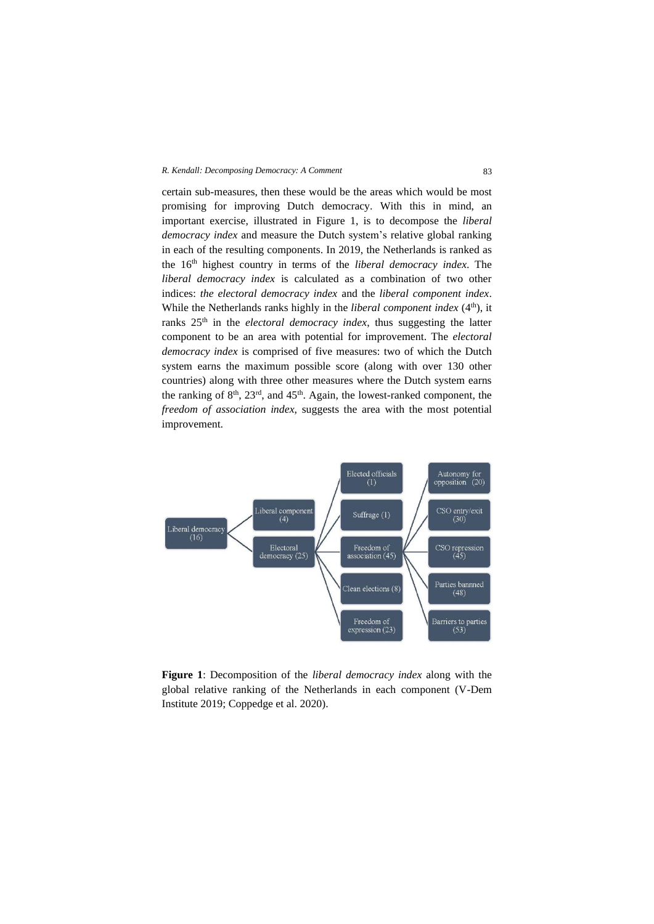#### *R. Kendall: Decomposing Democracy: A Comment* 83

certain sub-measures, then these would be the areas which would be most promising for improving Dutch democracy. With this in mind, an important exercise, illustrated in Figure 1, is to decompose the *liberal democracy index* and measure the Dutch system's relative global ranking in each of the resulting components. In 2019, the Netherlands is ranked as the 16th highest country in terms of the *liberal democracy index*. The *liberal democracy index* is calculated as a combination of two other indices: *the electoral democracy index* and the *liberal component index*. While the Netherlands ranks highly in the *liberal component index* (4<sup>th</sup>), it ranks 25th in the *electoral democracy index*, thus suggesting the latter component to be an area with potential for improvement. The *electoral democracy index* is comprised of five measures: two of which the Dutch system earns the maximum possible score (along with over 130 other countries) along with three other measures where the Dutch system earns the ranking of  $8<sup>th</sup>$ ,  $23<sup>rd</sup>$ , and  $45<sup>th</sup>$ . Again, the lowest-ranked component, the *freedom of association index*, suggests the area with the most potential improvement.



**Figure 1**: Decomposition of the *liberal democracy index* along with the global relative ranking of the Netherlands in each component (V-Dem Institute 2019; Coppedge et al. 2020).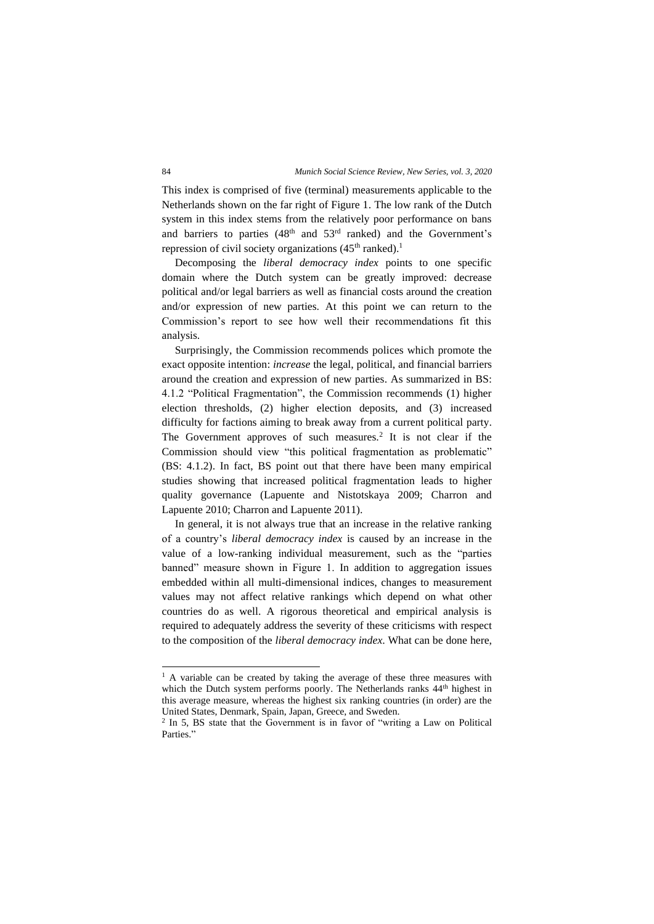This index is comprised of five (terminal) measurements applicable to the Netherlands shown on the far right of Figure 1. The low rank of the Dutch system in this index stems from the relatively poor performance on bans and barriers to parties (48th and 53rd ranked) and the Government's repression of civil society organizations  $(45<sup>th</sup>$  ranked).<sup>1</sup>

Decomposing the *liberal democracy index* points to one specific domain where the Dutch system can be greatly improved: decrease political and/or legal barriers as well as financial costs around the creation and/or expression of new parties. At this point we can return to the Commission's report to see how well their recommendations fit this analysis.

Surprisingly, the Commission recommends polices which promote the exact opposite intention: *increase* the legal, political, and financial barriers around the creation and expression of new parties. As summarized in BS: 4.1.2 "Political Fragmentation", the Commission recommends (1) higher election thresholds, (2) higher election deposits, and (3) increased difficulty for factions aiming to break away from a current political party. The Government approves of such measures.<sup>2</sup> It is not clear if the Commission should view "this political fragmentation as problematic" (BS: 4.1.2). In fact, BS point out that there have been many empirical studies showing that increased political fragmentation leads to higher quality governance (Lapuente and Nistotskaya 2009; Charron and Lapuente 2010; Charron and Lapuente 2011).

In general, it is not always true that an increase in the relative ranking of a country's *liberal democracy index* is caused by an increase in the value of a low-ranking individual measurement, such as the "parties banned" measure shown in Figure 1. In addition to aggregation issues embedded within all multi-dimensional indices, changes to measurement values may not affect relative rankings which depend on what other countries do as well. A rigorous theoretical and empirical analysis is required to adequately address the severity of these criticisms with respect to the composition of the *liberal democracy index*. What can be done here,

<sup>&</sup>lt;sup>1</sup> A variable can be created by taking the average of these three measures with which the Dutch system performs poorly. The Netherlands ranks  $44<sup>th</sup>$  highest in this average measure, whereas the highest six ranking countries (in order) are the United States, Denmark, Spain, Japan, Greece, and Sweden.

<sup>&</sup>lt;sup>2</sup> In 5, BS state that the Government is in favor of "writing a Law on Political Parties<sup></sup>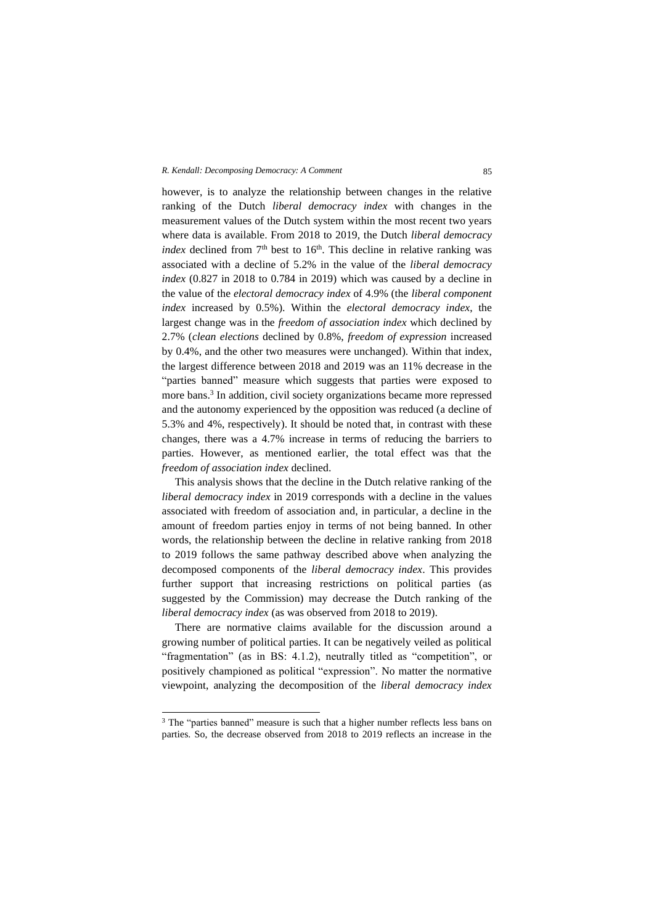#### *R. Kendall: Decomposing Democracy: A Comment* 85

however, is to analyze the relationship between changes in the relative ranking of the Dutch *liberal democracy index* with changes in the measurement values of the Dutch system within the most recent two years where data is available. From 2018 to 2019, the Dutch *liberal democracy index* declined from  $7<sup>th</sup>$  best to  $16<sup>th</sup>$ . This decline in relative ranking was associated with a decline of 5.2% in the value of the *liberal democracy index* (0.827 in 2018 to 0.784 in 2019) which was caused by a decline in the value of the *electoral democracy index* of 4.9% (the *liberal component index* increased by 0.5%). Within the *electoral democracy index*, the largest change was in the *freedom of association index* which declined by 2.7% (*clean elections* declined by 0.8%, *freedom of expression* increased by 0.4%, and the other two measures were unchanged). Within that index, the largest difference between 2018 and 2019 was an 11% decrease in the "parties banned" measure which suggests that parties were exposed to more bans. 3 In addition, civil society organizations became more repressed and the autonomy experienced by the opposition was reduced (a decline of 5.3% and 4%, respectively). It should be noted that, in contrast with these changes, there was a 4.7% increase in terms of reducing the barriers to parties. However, as mentioned earlier, the total effect was that the *freedom of association index* declined.

This analysis shows that the decline in the Dutch relative ranking of the *liberal democracy index* in 2019 corresponds with a decline in the values associated with freedom of association and, in particular, a decline in the amount of freedom parties enjoy in terms of not being banned. In other words, the relationship between the decline in relative ranking from 2018 to 2019 follows the same pathway described above when analyzing the decomposed components of the *liberal democracy index*. This provides further support that increasing restrictions on political parties (as suggested by the Commission) may decrease the Dutch ranking of the *liberal democracy index* (as was observed from 2018 to 2019).

There are normative claims available for the discussion around a growing number of political parties. It can be negatively veiled as political "fragmentation" (as in BS: 4.1.2), neutrally titled as "competition", or positively championed as political "expression". No matter the normative viewpoint, analyzing the decomposition of the *liberal democracy index*

<sup>&</sup>lt;sup>3</sup> The "parties banned" measure is such that a higher number reflects less bans on parties. So, the decrease observed from 2018 to 2019 reflects an increase in the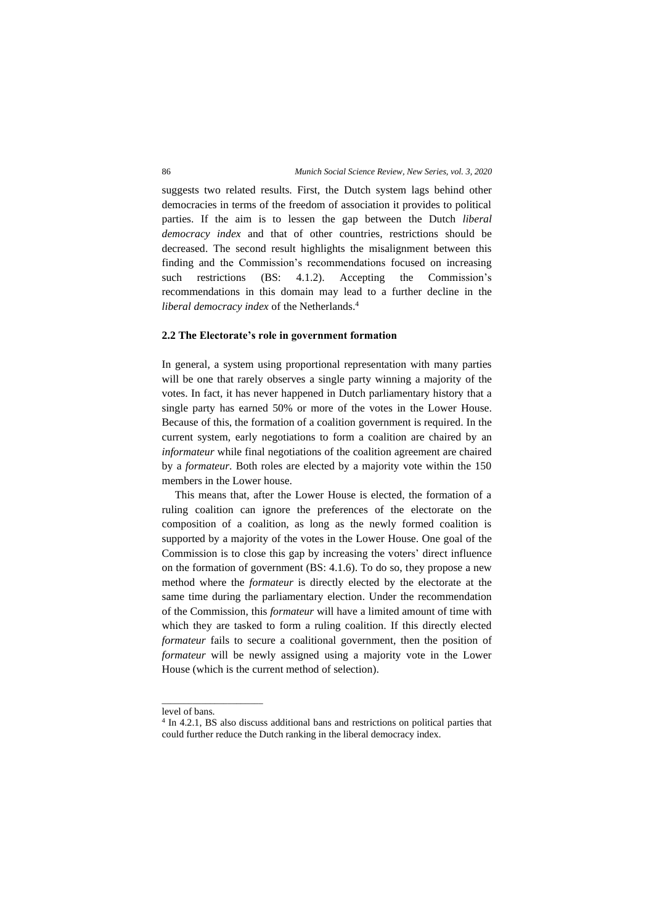suggests two related results. First, the Dutch system lags behind other democracies in terms of the freedom of association it provides to political parties. If the aim is to lessen the gap between the Dutch *liberal democracy index* and that of other countries, restrictions should be decreased. The second result highlights the misalignment between this finding and the Commission's recommendations focused on increasing such restrictions (BS: 4.1.2). Accepting the Commission's recommendations in this domain may lead to a further decline in the *liberal democracy index* of the Netherlands. 4

## **2.2 The Electorate's role in government formation**

In general, a system using proportional representation with many parties will be one that rarely observes a single party winning a majority of the votes. In fact, it has never happened in Dutch parliamentary history that a single party has earned 50% or more of the votes in the Lower House. Because of this, the formation of a coalition government is required. In the current system, early negotiations to form a coalition are chaired by an *informateur* while final negotiations of the coalition agreement are chaired by a *formateur*. Both roles are elected by a majority vote within the 150 members in the Lower house.

This means that, after the Lower House is elected, the formation of a ruling coalition can ignore the preferences of the electorate on the composition of a coalition, as long as the newly formed coalition is supported by a majority of the votes in the Lower House. One goal of the Commission is to close this gap by increasing the voters' direct influence on the formation of government (BS: 4.1.6). To do so, they propose a new method where the *formateur* is directly elected by the electorate at the same time during the parliamentary election. Under the recommendation of the Commission, this *formateur* will have a limited amount of time with which they are tasked to form a ruling coalition. If this directly elected *formateur* fails to secure a coalitional government, then the position of *formateur* will be newly assigned using a majority vote in the Lower House (which is the current method of selection).

\_\_\_\_\_\_\_\_\_\_\_\_\_\_\_\_\_\_\_\_\_\_\_

level of bans.

<sup>&</sup>lt;sup>4</sup> In 4.2.1, BS also discuss additional bans and restrictions on political parties that could further reduce the Dutch ranking in the liberal democracy index.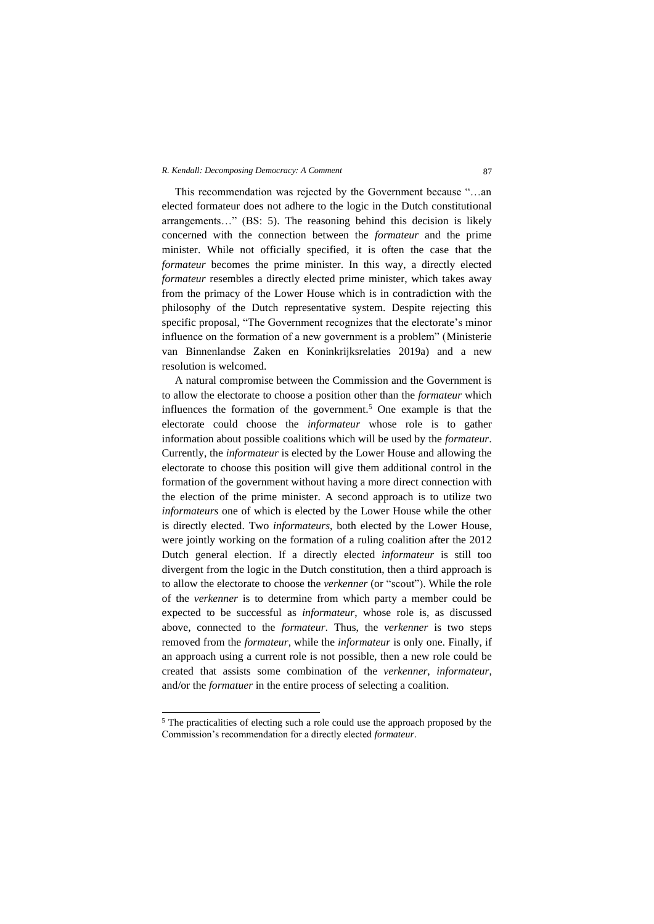#### *R. Kendall: Decomposing Democracy: A Comment* 87

This recommendation was rejected by the Government because "…an elected formateur does not adhere to the logic in the Dutch constitutional arrangements…" (BS: 5). The reasoning behind this decision is likely concerned with the connection between the *formateur* and the prime minister. While not officially specified, it is often the case that the *formateur* becomes the prime minister. In this way, a directly elected *formateur* resembles a directly elected prime minister, which takes away from the primacy of the Lower House which is in contradiction with the philosophy of the Dutch representative system. Despite rejecting this specific proposal, "The Government recognizes that the electorate's minor influence on the formation of a new government is a problem" (Ministerie van Binnenlandse Zaken en Koninkrijksrelaties 2019a) and a new resolution is welcomed.

A natural compromise between the Commission and the Government is to allow the electorate to choose a position other than the *formateur* which influences the formation of the government.<sup>5</sup> One example is that the electorate could choose the *informateur* whose role is to gather information about possible coalitions which will be used by the *formateur*. Currently, the *informateur* is elected by the Lower House and allowing the electorate to choose this position will give them additional control in the formation of the government without having a more direct connection with the election of the prime minister. A second approach is to utilize two *informateurs* one of which is elected by the Lower House while the other is directly elected. Two *informateurs*, both elected by the Lower House, were jointly working on the formation of a ruling coalition after the 2012 Dutch general election. If a directly elected *informateur* is still too divergent from the logic in the Dutch constitution, then a third approach is to allow the electorate to choose the *verkenner* (or "scout"). While the role of the *verkenner* is to determine from which party a member could be expected to be successful as *informateur*, whose role is, as discussed above, connected to the *formateur*. Thus, the *verkenner* is two steps removed from the *formateur*, while the *informateur* is only one. Finally, if an approach using a current role is not possible, then a new role could be created that assists some combination of the *verkenner*, *informateur*, and/or the *formatuer* in the entire process of selecting a coalition.

<sup>5</sup> The practicalities of electing such a role could use the approach proposed by the Commission's recommendation for a directly elected *formateur*.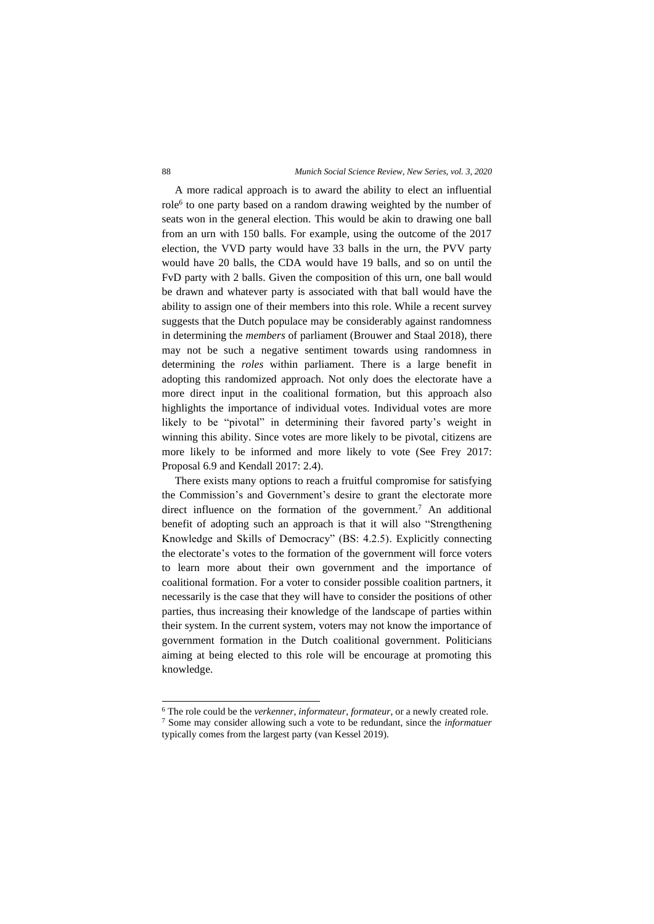#### 88 *Munich Social Science Review, New Series, vol. 3, 2020*

A more radical approach is to award the ability to elect an influential role<sup>6</sup> to one party based on a random drawing weighted by the number of seats won in the general election. This would be akin to drawing one ball from an urn with 150 balls. For example, using the outcome of the 2017 election, the VVD party would have 33 balls in the urn, the PVV party would have 20 balls, the CDA would have 19 balls, and so on until the FvD party with 2 balls. Given the composition of this urn, one ball would be drawn and whatever party is associated with that ball would have the ability to assign one of their members into this role. While a recent survey suggests that the Dutch populace may be considerably against randomness in determining the *members* of parliament (Brouwer and Staal 2018), there may not be such a negative sentiment towards using randomness in determining the *roles* within parliament. There is a large benefit in adopting this randomized approach. Not only does the electorate have a more direct input in the coalitional formation, but this approach also highlights the importance of individual votes. Individual votes are more likely to be "pivotal" in determining their favored party's weight in winning this ability. Since votes are more likely to be pivotal, citizens are more likely to be informed and more likely to vote (See Frey 2017: Proposal 6.9 and Kendall 2017: 2.4).

There exists many options to reach a fruitful compromise for satisfying the Commission's and Government's desire to grant the electorate more direct influence on the formation of the government.<sup>7</sup> An additional benefit of adopting such an approach is that it will also "Strengthening Knowledge and Skills of Democracy" (BS: 4.2.5). Explicitly connecting the electorate's votes to the formation of the government will force voters to learn more about their own government and the importance of coalitional formation. For a voter to consider possible coalition partners, it necessarily is the case that they will have to consider the positions of other parties, thus increasing their knowledge of the landscape of parties within their system. In the current system, voters may not know the importance of government formation in the Dutch coalitional government. Politicians aiming at being elected to this role will be encourage at promoting this knowledge.

<sup>6</sup> The role could be the *verkenner*, *informateur*, *formateur*, or a newly created role.

<sup>7</sup> Some may consider allowing such a vote to be redundant, since the *informatuer* typically comes from the largest party (van Kessel 2019).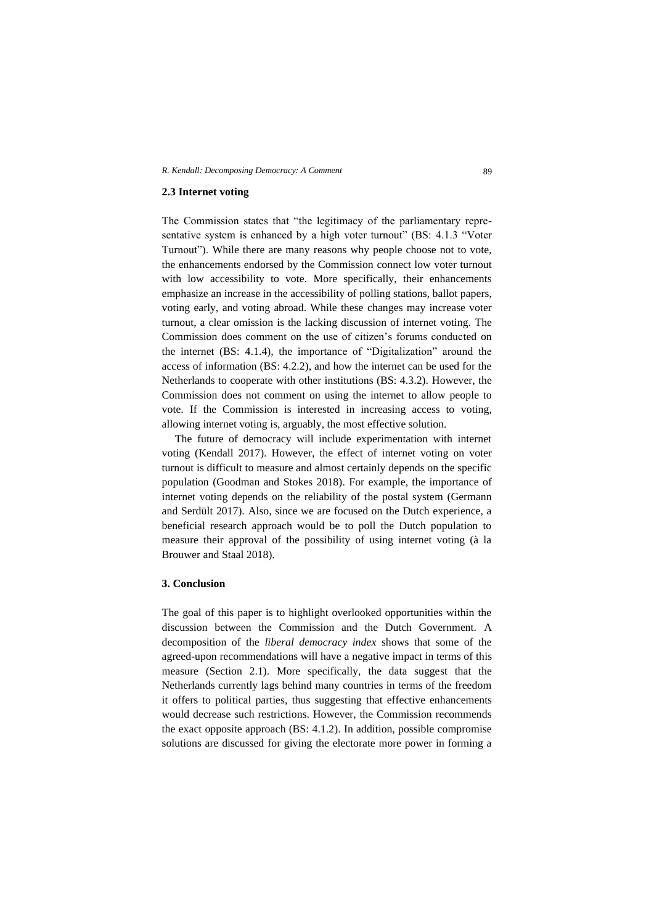## **2.3 Internet voting**

The Commission states that "the legitimacy of the parliamentary representative system is enhanced by a high voter turnout" (BS: 4.1.3 "Voter Turnout"). While there are many reasons why people choose not to vote, the enhancements endorsed by the Commission connect low voter turnout with low accessibility to vote. More specifically, their enhancements emphasize an increase in the accessibility of polling stations, ballot papers, voting early, and voting abroad. While these changes may increase voter turnout, a clear omission is the lacking discussion of internet voting. The Commission does comment on the use of citizen's forums conducted on the internet (BS: 4.1.4), the importance of "Digitalization" around the access of information (BS: 4.2.2), and how the internet can be used for the Netherlands to cooperate with other institutions (BS: 4.3.2). However, the Commission does not comment on using the internet to allow people to vote. If the Commission is interested in increasing access to voting, allowing internet voting is, arguably, the most effective solution.

The future of democracy will include experimentation with internet voting (Kendall 2017). However, the effect of internet voting on voter turnout is difficult to measure and almost certainly depends on the specific population (Goodman and Stokes 2018). For example, the importance of internet voting depends on the reliability of the postal system (Germann and Serdült 2017). Also, since we are focused on the Dutch experience, a beneficial research approach would be to poll the Dutch population to measure their approval of the possibility of using internet voting (à la Brouwer and Staal 2018).

# **3. Conclusion**

The goal of this paper is to highlight overlooked opportunities within the discussion between the Commission and the Dutch Government. A decomposition of the *liberal democracy index* shows that some of the agreed-upon recommendations will have a negative impact in terms of this measure (Section 2.1). More specifically, the data suggest that the Netherlands currently lags behind many countries in terms of the freedom it offers to political parties, thus suggesting that effective enhancements would decrease such restrictions. However, the Commission recommends the exact opposite approach (BS: 4.1.2). In addition, possible compromise solutions are discussed for giving the electorate more power in forming a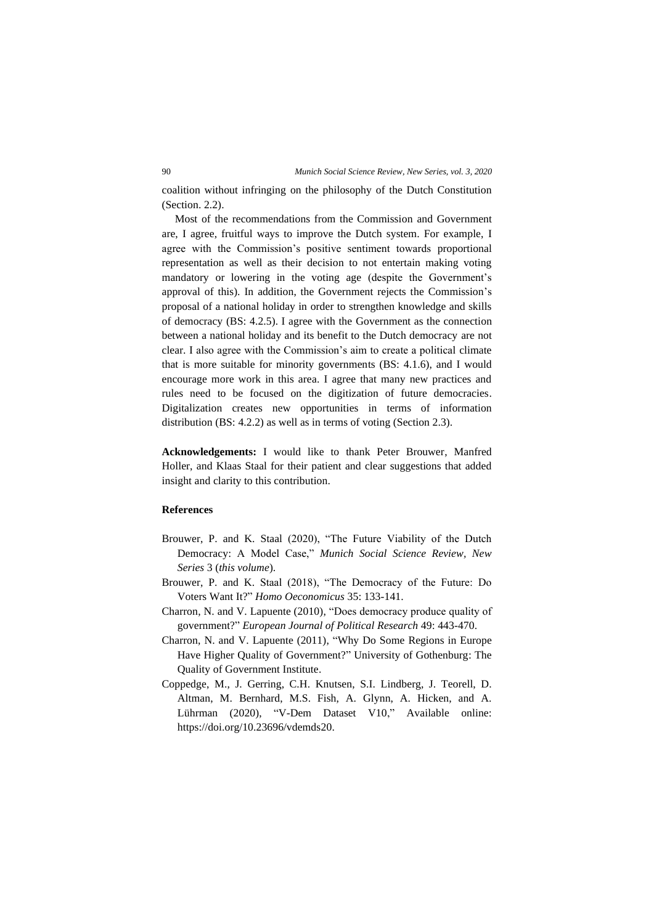coalition without infringing on the philosophy of the Dutch Constitution (Section. 2.2).

Most of the recommendations from the Commission and Government are, I agree, fruitful ways to improve the Dutch system. For example, I agree with the Commission's positive sentiment towards proportional representation as well as their decision to not entertain making voting mandatory or lowering in the voting age (despite the Government's approval of this). In addition, the Government rejects the Commission's proposal of a national holiday in order to strengthen knowledge and skills of democracy (BS: 4.2.5). I agree with the Government as the connection between a national holiday and its benefit to the Dutch democracy are not clear. I also agree with the Commission's aim to create a political climate that is more suitable for minority governments (BS: 4.1.6), and I would encourage more work in this area. I agree that many new practices and rules need to be focused on the digitization of future democracies. Digitalization creates new opportunities in terms of information distribution (BS: 4.2.2) as well as in terms of voting (Section 2.3).

**Acknowledgements:** I would like to thank Peter Brouwer, Manfred Holler, and Klaas Staal for their patient and clear suggestions that added insight and clarity to this contribution.

## **References**

- Brouwer, P. and K. Staal (2020), "The Future Viability of the Dutch Democracy: A Model Case," *Munich Social Science Review, New Series* 3 (*this volume*).
- Brouwer, P. and K. Staal (2018), "The Democracy of the Future: Do Voters Want It?" *Homo Oeconomicus* 35: 133-141.
- Charron, N. and V. Lapuente (2010), "Does democracy produce quality of government?" *European Journal of Political Research* 49: 443-470.
- Charron, N. and V. Lapuente (2011), "Why Do Some Regions in Europe Have Higher Quality of Government?" University of Gothenburg: The Quality of Government Institute.
- Coppedge, M., J. Gerring, C.H. Knutsen, S.I. Lindberg, J. Teorell, D. Altman, M. Bernhard, M.S. Fish, A. Glynn, A. Hicken, and A. Lührman (2020), "V-Dem Dataset V10," Available online: https://doi.org/10.23696/vdemds20.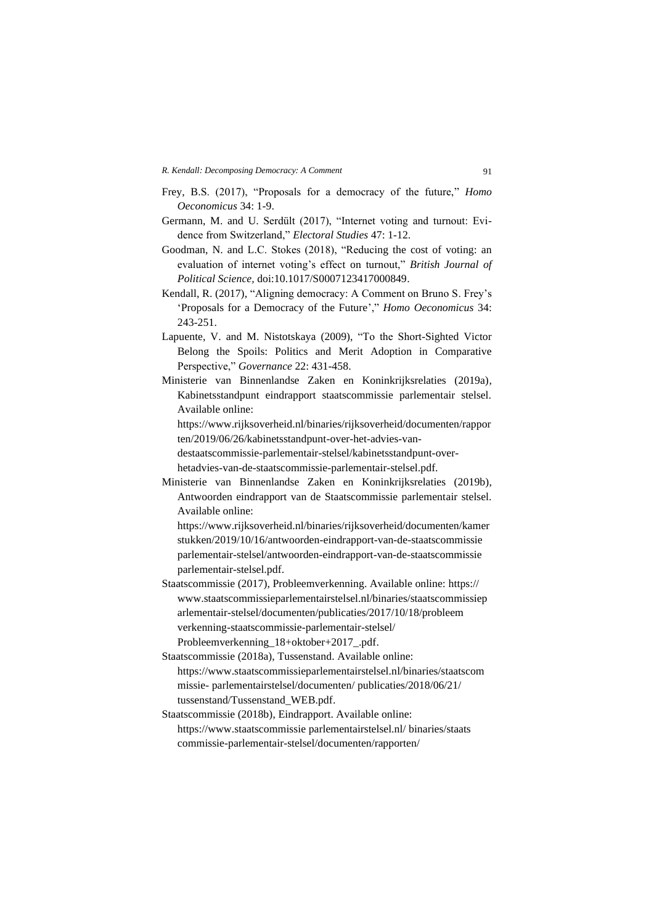- Frey, B.S. (2017), "Proposals for a democracy of the future," *Homo Oeconomicus* 34: 1-9.
- Germann, M. and U. Serdült (2017), "Internet voting and turnout: Evidence from Switzerland," *Electoral Studies* 47: 1-12.
- Goodman, N. and L.C. Stokes (2018), "Reducing the cost of voting: an evaluation of internet voting's effect on turnout," *British Journal of Political Science,* doi:10.1017/S0007123417000849.
- Kendall, R. (2017), "Aligning democracy: A Comment on Bruno S. Frey's 'Proposals for a Democracy of the Future'," *Homo Oeconomicus* 34: 243-251.
- Lapuente, V. and M. Nistotskaya (2009), "To the Short-Sighted Victor Belong the Spoils: Politics and Merit Adoption in Comparative Perspective," *Governance* 22: 431-458.
- Ministerie van Binnenlandse Zaken en Koninkrijksrelaties (2019a), Kabinetsstandpunt eindrapport staatscommissie parlementair stelsel. Available online:

https://www.rijksoverheid.nl/binaries/rijksoverheid/documenten/rappor ten/2019/06/26/kabinetsstandpunt-over-het-advies-van-

destaatscommissie-parlementair-stelsel/kabinetsstandpunt-overhetadvies-van-de-staatscommissie-parlementair-stelsel.pdf.

Ministerie van Binnenlandse Zaken en Koninkrijksrelaties (2019b), Antwoorden eindrapport van de Staatscommissie parlementair stelsel. Available online:

[https://www.rijksoverheid.nl/binaries/rijksoverheid/documenten/kamer](https://www.rijksoverheid.nl/binaries/rijksoverheid/documenten/kamerstukken/2019/10/16/antwoorden-eindrapport-van-de-staatscommissie) [stukken/2019/10/16/antwoorden-eindrapport-van-de-staatscommissie](https://www.rijksoverheid.nl/binaries/rijksoverheid/documenten/kamerstukken/2019/10/16/antwoorden-eindrapport-van-de-staatscommissie) parlementair-stelsel/antwoorden-eindrapport-van-de-staatscommissie parlementair-stelsel.pdf.

- Staatscommissie (2017), Probleemverkenning. Available online: https:// www.staatscommissieparlementairstelsel.nl/binaries/staatscommissiep arlementair-stelsel/documenten/publicaties/2017/10/18/probleem verkenning-staatscommissie-parlementair-stelsel/ Probleemverkenning\_18+oktober+2017\_.pdf.
- Staatscommissie (2018a), Tussenstand. Available online: https://www.staatscommissieparlementairstelsel.nl/binaries/staatscom missie- parlementairstelsel/documenten/ publicaties/2018/06/21/ tussenstand/Tussenstand\_WEB.pdf.
- Staatscommissie (2018b), Eindrapport. Available online: https://www.staatscommissie parlementairstelsel.nl/ binaries/staats commissie-parlementair-stelsel/documenten/rapporten/